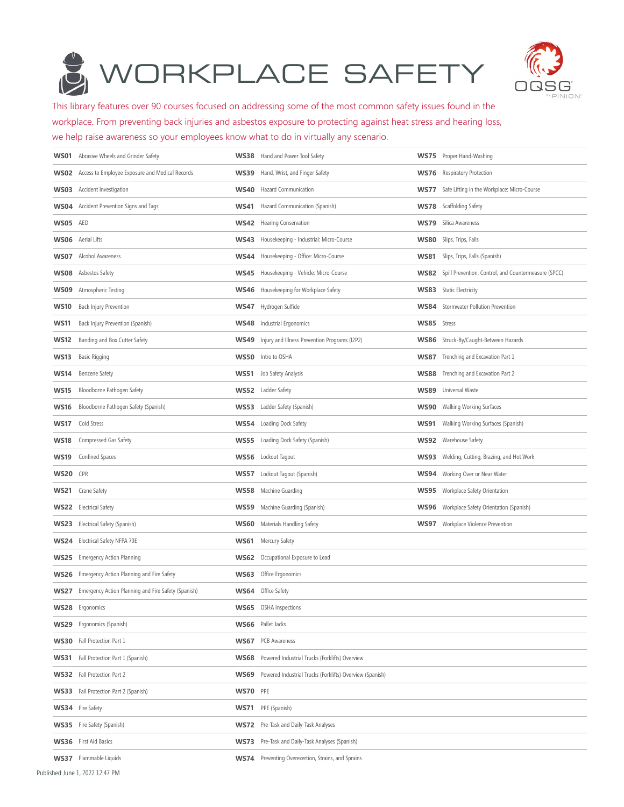



This library features over 90 courses focused on addressing some of the most common safety issues found in the workplace. From preventing back injuries and asbestos exposure to protecting against heat stress and hearing loss, we help raise awareness so your employees know what to do in virtually any scenario.

|                 | <b>WS01</b> Abrasive Wheels and Grinder Safety                  |          | <b>WS38</b> Hand and Power Tool Safety                               |                    | <b>WS75</b> Proper Hand-Washing                                  |
|-----------------|-----------------------------------------------------------------|----------|----------------------------------------------------------------------|--------------------|------------------------------------------------------------------|
|                 | <b>WS02</b> Access to Employee Exposure and Medical Records     |          | <b>WS39</b> Hand, Wrist, and Finger Safety                           |                    | <b>WS76</b> Respiratory Protection                               |
|                 | <b>WS03</b> Accident Investigation                              |          | <b>WS40</b> Hazard Communication                                     |                    | <b>WS77</b> Safe Lifting in the Workplace: Micro-Course          |
|                 | <b>WS04</b> Accident Prevention Signs and Tags                  |          | <b>WS41</b> Hazard Communication (Spanish)                           |                    | <b>WS78</b> Scaffolding Safety                                   |
| <b>WS05 AED</b> |                                                                 |          | <b>WS42</b> Hearing Conservation                                     |                    | <b>WS79</b> Silica Awareness                                     |
|                 | <b>WS06</b> Aerial Lifts                                        | WS43     | Housekeeping - Industrial: Micro-Course                              |                    | <b>WS80</b> Slips, Trips, Falls                                  |
|                 | <b>WS07</b> Alcohol Awareness                                   |          | WS44 Housekeeping - Office: Micro-Course                             |                    | <b>WS81</b> Slips, Trips, Falls (Spanish)                        |
|                 | <b>WS08</b> Asbestos Safety                                     |          | WS45 Housekeeping - Vehicle: Micro-Course                            |                    | <b>WS82</b> Spill Prevention, Control, and Countermeasure (SPCC) |
| WS09            | Atmospheric Testing                                             |          | <b>WS46</b> Housekeeping for Workplace Safety                        |                    | <b>WS83</b> Static Electricity                                   |
| WS10            | Back Injury Prevention                                          |          | <b>WS47</b> Hydrogen Sulfide                                         |                    | <b>WS84</b> Stormwater Pollution Prevention                      |
| <b>WS11</b>     | Back Injury Prevention (Spanish)                                |          | <b>WS48</b> Industrial Ergonomics                                    | <b>WS85</b> Stress |                                                                  |
| WS12            | Banding and Box Cutter Safety                                   |          | <b>WS49</b> Injury and Illness Prevention Programs (I2P2)            |                    | <b>WS86</b> Struck-By/Caught-Between Hazards                     |
| WS13            | <b>Basic Rigging</b>                                            |          | <b>WS50</b> Intro to OSHA                                            |                    | <b>WS87</b> Trenching and Excavation Part 1                      |
| WS14            | Benzene Safety                                                  |          | <b>WS51</b> Job Safety Analysis                                      | WS88               | Trenching and Excavation Part 2                                  |
| <b>WS15</b>     | Bloodborne Pathogen Safety                                      |          | <b>WS52</b> Ladder Safety                                            |                    | <b>WS89</b> Universal Waste                                      |
| <b>WS16</b>     | Bloodborne Pathogen Safety (Spanish)                            |          | <b>WS53</b> Ladder Safety (Spanish)                                  |                    | <b>WS90</b> Walking Working Surfaces                             |
|                 | <b>WS17</b> Cold Stress                                         |          | <b>WS54</b> Loading Dock Safety                                      | <b>WS91</b>        | Walking Working Surfaces (Spanish)                               |
|                 | <b>WS18</b> Compressed Gas Safety                               |          | <b>WS55</b> Loading Dock Safety (Spanish)                            |                    | <b>WS92</b> Warehouse Safety                                     |
|                 | <b>WS19</b> Confined Spaces                                     |          | <b>WS56</b> Lockout Tagout                                           |                    | WS93 Welding, Cutting, Brazing, and Hot Work                     |
| WS20 CPR        |                                                                 |          | <b>WS57</b> Lockout Tagout (Spanish)                                 | <b>WS94</b>        | Working Over or Near Water                                       |
|                 | <b>WS21</b> Crane Safety                                        |          | <b>WS58</b> Machine Guarding                                         | WS95               | Workplace Safety Orientation                                     |
|                 | <b>WS22</b> Electrical Safety                                   |          | <b>WS59</b> Machine Guarding (Spanish)                               |                    | <b>WS96</b> Workplace Safety Orientation (Spanish)               |
|                 | <b>WS23</b> Electrical Safety (Spanish)                         |          | <b>WS60</b> Materials Handling Safety                                |                    | <b>WS97</b> Workplace Violence Prevention                        |
|                 | <b>WS24</b> Electrical Safety NFPA 70E                          |          | <b>WS61</b> Mercury Safety                                           |                    |                                                                  |
|                 | <b>WS25</b> Emergency Action Planning                           |          | <b>WS62</b> Occupational Exposure to Lead                            |                    |                                                                  |
|                 | <b>WS26</b> Emergency Action Planning and Fire Safety           |          | <b>WS63</b> Office Ergonomics                                        |                    |                                                                  |
|                 | <b>WS27</b> Emergency Action Planning and Fire Safety (Spanish) |          | <b>WS64</b> Office Safety                                            |                    |                                                                  |
|                 | <b>WS28</b> Ergonomics                                          |          | <b>WS65</b> OSHA Inspections                                         |                    |                                                                  |
|                 | <b>WS29</b> Ergonomics (Spanish)                                |          | <b>WS66</b> Pallet Jacks                                             |                    |                                                                  |
|                 | <b>WS30</b> Fall Protection Part 1                              |          | <b>WS67</b> PCB Awareness                                            |                    |                                                                  |
|                 | <b>WS31</b> Fall Protection Part 1 (Spanish)                    |          | <b>WS68</b> Powered Industrial Trucks (Forklifts) Overview           |                    |                                                                  |
|                 | <b>WS32</b> Fall Protection Part 2                              |          | <b>WS69</b> Powered Industrial Trucks (Forklifts) Overview (Spanish) |                    |                                                                  |
|                 | <b>WS33</b> Fall Protection Part 2 (Spanish)                    | WS70 PPE |                                                                      |                    |                                                                  |
|                 | <b>WS34</b> Fire Safety                                         |          | <b>WS71</b> PPE (Spanish)                                            |                    |                                                                  |
|                 | <b>WS35</b> Fire Safety (Spanish)                               |          | <b>WS72</b> Pre-Task and Daily-Task Analyses                         |                    |                                                                  |
|                 | <b>WS36</b> First Aid Basics                                    |          | <b>WS73</b> Pre-Task and Daily-Task Analyses (Spanish)               |                    |                                                                  |
|                 | <b>WS37</b> Flammable Liquids                                   |          | <b>WS74</b> Preventing Overexertion, Strains, and Sprains            |                    |                                                                  |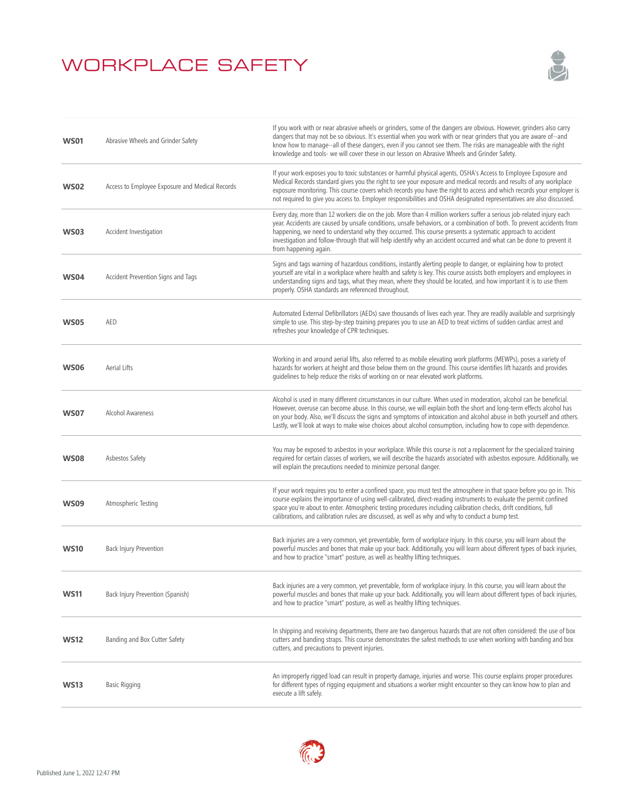

| <b>WS01</b> | Abrasive Wheels and Grinder Safety              | If you work with or near abrasive wheels or grinders, some of the dangers are obvious. However, grinders also carry<br>dangers that may not be so obvious. It's essential when you work with or near grinders that you are aware of--and<br>know how to manage--all of these dangers, even if you cannot see them. The risks are manageable with the right<br>knowledge and tools- we will cover these in our lesson on Abrasive Wheels and Grinder Safety.                                                   |
|-------------|-------------------------------------------------|---------------------------------------------------------------------------------------------------------------------------------------------------------------------------------------------------------------------------------------------------------------------------------------------------------------------------------------------------------------------------------------------------------------------------------------------------------------------------------------------------------------|
| <b>WS02</b> | Access to Employee Exposure and Medical Records | If your work exposes you to toxic substances or harmful physical agents, OSHA's Access to Employee Exposure and<br>Medical Records standard gives you the right to see your exposure and medical records and results of any workplace<br>exposure monitoring. This course covers which records you have the right to access and which records your employer is<br>not required to give you access to. Employer responsibilities and OSHA designated representatives are also discussed.                       |
| <b>WS03</b> | Accident Investigation                          | Every day, more than 12 workers die on the job. More than 4 million workers suffer a serious job-related injury each<br>year. Accidents are caused by unsafe conditions, unsafe behaviors, or a combination of both. To prevent accidents from<br>happening, we need to understand why they occurred. This course presents a systematic approach to accident<br>investigation and follow-through that will help identify why an accident occurred and what can be done to prevent it<br>from happening again. |
| <b>WS04</b> | Accident Prevention Signs and Tags              | Signs and tags warning of hazardous conditions, instantly alerting people to danger, or explaining how to protect<br>yourself are vital in a workplace where health and safety is key. This course assists both employers and employees in<br>understanding signs and tags, what they mean, where they should be located, and how important it is to use them<br>properly. OSHA standards are referenced throughout.                                                                                          |
| <b>WS05</b> | AED                                             | Automated External Defibrillators (AEDs) save thousands of lives each year. They are readily available and surprisingly<br>simple to use. This step-by-step training prepares you to use an AED to treat victims of sudden cardiac arrest and<br>refreshes your knowledge of CPR techniques.                                                                                                                                                                                                                  |
| <b>WS06</b> | Aerial Lifts                                    | Working in and around aerial lifts, also referred to as mobile elevating work platforms (MEWPs), poses a variety of<br>hazards for workers at height and those below them on the ground. This course identifies lift hazards and provides<br>quidelines to help reduce the risks of working on or near elevated work platforms.                                                                                                                                                                               |
| <b>WS07</b> | <b>Alcohol Awareness</b>                        | Alcohol is used in many different circumstances in our culture. When used in moderation, alcohol can be beneficial.<br>However, overuse can become abuse. In this course, we will explain both the short and long-term effects alcohol has<br>on your body. Also, we'll discuss the signs and symptoms of intoxication and alcohol abuse in both yourself and others.<br>Lastly, we'll look at ways to make wise choices about alcohol consumption, including how to cope with dependence.                    |
| <b>WS08</b> | Asbestos Safety                                 | You may be exposed to asbestos in your workplace. While this course is not a replacement for the specialized training<br>required for certain classes of workers, we will describe the hazards associated with asbestos exposure. Additionally, we<br>will explain the precautions needed to minimize personal danger.                                                                                                                                                                                        |
| <b>WS09</b> | Atmospheric Testing                             | If your work requires you to enter a confined space, you must test the atmosphere in that space before you go in. This<br>course explains the importance of using well-calibrated, direct-reading instruments to evaluate the permit confined<br>space you're about to enter. Atmospheric testing procedures including calibration checks, drift conditions, full<br>calibrations, and calibration rules are discussed, as well as why and why to conduct a bump test.                                        |
| <b>WS10</b> | Back Injury Prevention                          | Back injuries are a very common, yet preventable, form of workplace injury. In this course, you will learn about the<br>powerful muscles and bones that make up your back. Additionally, you will learn about different types of back injuries,<br>and how to practice "smart" posture, as well as healthy lifting techniques.                                                                                                                                                                                |
| <b>WS11</b> | Back Injury Prevention (Spanish)                | Back injuries are a very common, yet preventable, form of workplace injury. In this course, you will learn about the<br>powerful muscles and bones that make up your back. Additionally, you will learn about different types of back injuries,<br>and how to practice "smart" posture, as well as healthy lifting techniques.                                                                                                                                                                                |
| <b>WS12</b> | Banding and Box Cutter Safety                   | In shipping and receiving departments, there are two dangerous hazards that are not often considered: the use of box<br>cutters and banding straps. This course demonstrates the safest methods to use when working with banding and box<br>cutters, and precautions to prevent injuries.                                                                                                                                                                                                                     |
| <b>WS13</b> | <b>Basic Rigging</b>                            | An improperly rigged load can result in property damage, injuries and worse. This course explains proper procedures<br>for different types of rigging equipment and situations a worker might encounter so they can know how to plan and<br>execute a lift safely.                                                                                                                                                                                                                                            |

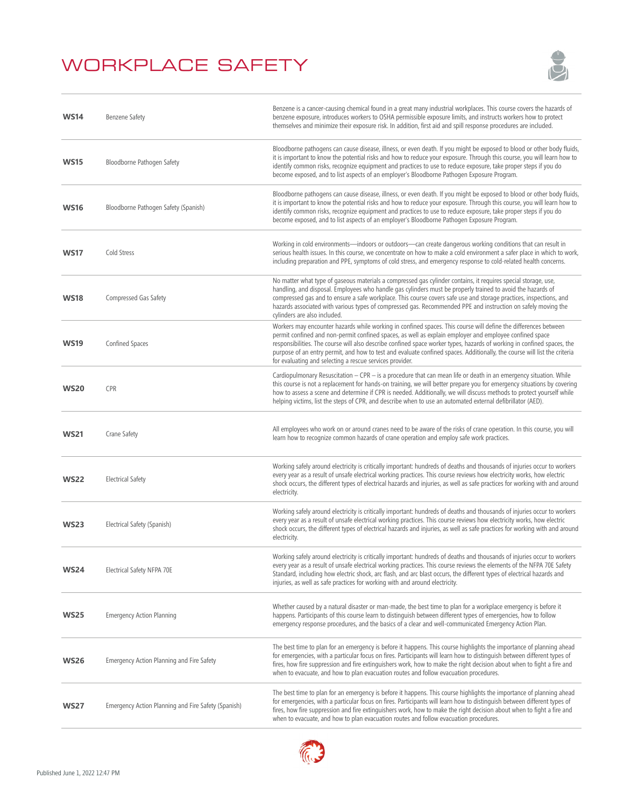

| <b>WS14</b> | <b>Benzene Safety</b>                               | Benzene is a cancer-causing chemical found in a great many industrial workplaces. This course covers the hazards of<br>benzene exposure, introduces workers to OSHA permissible exposure limits, and instructs workers how to protect<br>themselves and minimize their exposure risk. In addition, first aid and spill response procedures are included.                                                                                                                                                                                       |
|-------------|-----------------------------------------------------|------------------------------------------------------------------------------------------------------------------------------------------------------------------------------------------------------------------------------------------------------------------------------------------------------------------------------------------------------------------------------------------------------------------------------------------------------------------------------------------------------------------------------------------------|
| <b>WS15</b> | Bloodborne Pathogen Safety                          | Bloodborne pathogens can cause disease, illness, or even death. If you might be exposed to blood or other body fluids,<br>it is important to know the potential risks and how to reduce your exposure. Through this course, you will learn how to<br>identify common risks, recognize equipment and practices to use to reduce exposure, take proper steps if you do<br>become exposed, and to list aspects of an employer's Bloodborne Pathogen Exposure Program.                                                                             |
| <b>WS16</b> | Bloodborne Pathogen Safety (Spanish)                | Bloodborne pathogens can cause disease, illness, or even death. If you might be exposed to blood or other body fluids,<br>it is important to know the potential risks and how to reduce your exposure. Through this course, you will learn how to<br>identify common risks, recognize equipment and practices to use to reduce exposure, take proper steps if you do<br>become exposed, and to list aspects of an employer's Bloodborne Pathogen Exposure Program.                                                                             |
| <b>WS17</b> | Cold Stress                                         | Working in cold environments—indoors or outdoors—can create dangerous working conditions that can result in<br>serious health issues. In this course, we concentrate on how to make a cold environment a safer place in which to work,<br>including preparation and PPE, symptoms of cold stress, and emergency response to cold-related health concerns.                                                                                                                                                                                      |
| <b>WS18</b> | Compressed Gas Safety                               | No matter what type of gaseous materials a compressed gas cylinder contains, it requires special storage, use,<br>handling, and disposal. Employees who handle gas cylinders must be properly trained to avoid the hazards of<br>compressed gas and to ensure a safe workplace. This course covers safe use and storage practices, inspections, and<br>hazards associated with various types of compressed gas. Recommended PPE and instruction on safely moving the<br>cylinders are also included.                                           |
| <b>WS19</b> | Confined Spaces                                     | Workers may encounter hazards while working in confined spaces. This course will define the differences between<br>permit confined and non-permit confined spaces, as well as explain employer and employee confined space<br>responsibilities. The course will also describe confined space worker types, hazards of working in confined spaces, the<br>purpose of an entry permit, and how to test and evaluate confined spaces. Additionally, the course will list the criteria<br>for evaluating and selecting a rescue services provider. |
| <b>WS20</b> | CPR                                                 | Cardiopulmonary Resuscitation $-$ CPR $-$ is a procedure that can mean life or death in an emergency situation. While<br>this course is not a replacement for hands-on training, we will better prepare you for emergency situations by covering<br>how to assess a scene and determine if CPR is needed. Additionally, we will discuss methods to protect yourself while<br>helping victims, list the steps of CPR, and describe when to use an automated external defibrillator (AED).                                                       |
| <b>WS21</b> | Crane Safety                                        | All employees who work on or around cranes need to be aware of the risks of crane operation. In this course, you will<br>learn how to recognize common hazards of crane operation and employ safe work practices.                                                                                                                                                                                                                                                                                                                              |
| <b>WS22</b> | <b>Electrical Safety</b>                            | Working safely around electricity is critically important: hundreds of deaths and thousands of injuries occur to workers<br>every year as a result of unsafe electrical working practices. This course reviews how electricity works, how electric<br>shock occurs, the different types of electrical hazards and injuries, as well as safe practices for working with and around<br>electricity.                                                                                                                                              |
| <b>WS23</b> | Electrical Safety (Spanish)                         | Working safely around electricity is critically important: hundreds of deaths and thousands of injuries occur to workers<br>every year as a result of unsafe electrical working practices. This course reviews how electricity works, how electric<br>shock occurs, the different types of electrical hazards and injuries, as well as safe practices for working with and around<br>electricity.                                                                                                                                              |
| <b>WS24</b> | Electrical Safety NFPA 70E                          | Working safely around electricity is critically important: hundreds of deaths and thousands of injuries occur to workers<br>every year as a result of unsafe electrical working practices. This course reviews the elements of the NFPA 70E Safety<br>Standard, including how electric shock, arc flash, and arc blast occurs, the different types of electrical hazards and<br>injuries, as well as safe practices for working with and around electricity.                                                                                   |
| <b>WS25</b> | <b>Emergency Action Planning</b>                    | Whether caused by a natural disaster or man-made, the best time to plan for a workplace emergency is before it<br>happens. Participants of this course learn to distinguish between different types of emergencies, how to follow<br>emergency response procedures, and the basics of a clear and well-communicated Emergency Action Plan.                                                                                                                                                                                                     |
| <b>WS26</b> | Emergency Action Planning and Fire Safety           | The best time to plan for an emergency is before it happens. This course highlights the importance of planning ahead<br>for emergencies, with a particular focus on fires. Participants will learn how to distinguish between different types of<br>fires, how fire suppression and fire extinguishers work, how to make the right decision about when to fight a fire and<br>when to evacuate, and how to plan evacuation routes and follow evacuation procedures.                                                                            |
| <b>WS27</b> | Emergency Action Planning and Fire Safety (Spanish) | The best time to plan for an emergency is before it happens. This course highlights the importance of planning ahead<br>for emergencies, with a particular focus on fires. Participants will learn how to distinguish between different types of<br>fires, how fire suppression and fire extinguishers work, how to make the right decision about when to fight a fire and<br>when to evacuate, and how to plan evacuation routes and follow evacuation procedures.                                                                            |

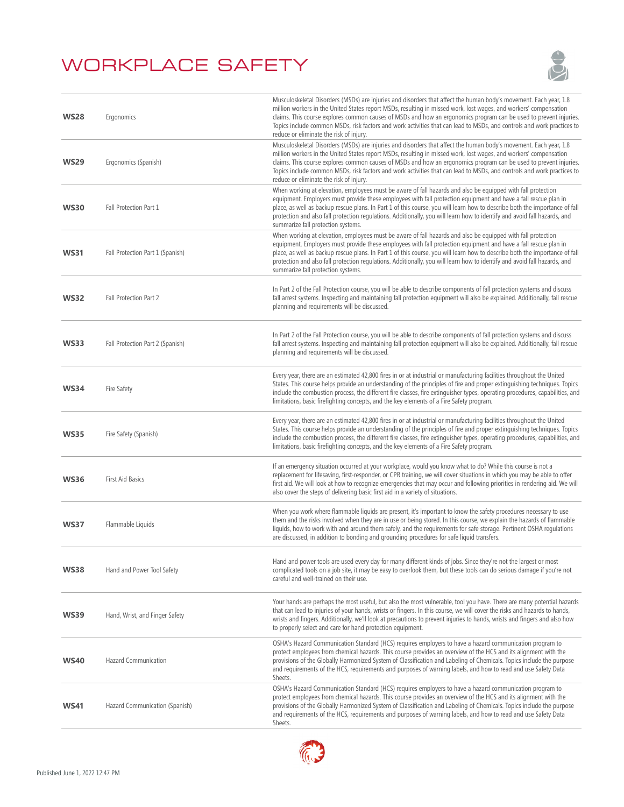

| <b>WS28</b> | Ergonomics                       | Musculoskeletal Disorders (MSDs) are injuries and disorders that affect the human body's movement. Each year, 1.8<br>million workers in the United States report MSDs, resulting in missed work, lost wages, and workers' compensation<br>claims. This course explores common causes of MSDs and how an ergonomics program can be used to prevent injuries.<br>Topics include common MSDs, risk factors and work activities that can lead to MSDs, and controls and work practices to<br>reduce or eliminate the risk of injury.  |
|-------------|----------------------------------|-----------------------------------------------------------------------------------------------------------------------------------------------------------------------------------------------------------------------------------------------------------------------------------------------------------------------------------------------------------------------------------------------------------------------------------------------------------------------------------------------------------------------------------|
| <b>WS29</b> | Ergonomics (Spanish)             | Musculoskeletal Disorders (MSDs) are injuries and disorders that affect the human body's movement. Each year, 1.8<br>million workers in the United States report MSDs, resulting in missed work, lost wages, and workers' compensation<br>claims. This course explores common causes of MSDs and how an ergonomics program can be used to prevent injuries.<br>Topics include common MSDs, risk factors and work activities that can lead to MSDs, and controls and work practices to<br>reduce or eliminate the risk of injury.  |
| <b>WS30</b> | Fall Protection Part 1           | When working at elevation, employees must be aware of fall hazards and also be equipped with fall protection<br>equipment. Employers must provide these employees with fall protection equipment and have a fall rescue plan in<br>place, as well as backup rescue plans. In Part 1 of this course, you will learn how to describe both the importance of fall<br>protection and also fall protection regulations. Additionally, you will learn how to identify and avoid fall hazards, and<br>summarize fall protection systems. |
| <b>WS31</b> | Fall Protection Part 1 (Spanish) | When working at elevation, employees must be aware of fall hazards and also be equipped with fall protection<br>equipment. Employers must provide these employees with fall protection equipment and have a fall rescue plan in<br>place, as well as backup rescue plans. In Part 1 of this course, you will learn how to describe both the importance of fall<br>protection and also fall protection regulations. Additionally, you will learn how to identify and avoid fall hazards, and<br>summarize fall protection systems. |
| <b>WS32</b> | Fall Protection Part 2           | In Part 2 of the Fall Protection course, you will be able to describe components of fall protection systems and discuss<br>fall arrest systems. Inspecting and maintaining fall protection equipment will also be explained. Additionally, fall rescue<br>planning and requirements will be discussed.                                                                                                                                                                                                                            |
| <b>WS33</b> | Fall Protection Part 2 (Spanish) | In Part 2 of the Fall Protection course, you will be able to describe components of fall protection systems and discuss<br>fall arrest systems. Inspecting and maintaining fall protection equipment will also be explained. Additionally, fall rescue<br>planning and requirements will be discussed.                                                                                                                                                                                                                            |
| <b>WS34</b> | Fire Safety                      | Every year, there are an estimated 42,800 fires in or at industrial or manufacturing facilities throughout the United<br>States. This course helps provide an understanding of the principles of fire and proper extinguishing techniques. Topics<br>include the combustion process, the different fire classes, fire extinguisher types, operating procedures, capabilities, and<br>limitations, basic firefighting concepts, and the key elements of a Fire Safety program.                                                     |
| <b>WS35</b> | Fire Safety (Spanish)            | Every year, there are an estimated 42,800 fires in or at industrial or manufacturing facilities throughout the United<br>States. This course helps provide an understanding of the principles of fire and proper extinguishing techniques. Topics<br>include the combustion process, the different fire classes, fire extinguisher types, operating procedures, capabilities, and<br>limitations, basic firefighting concepts, and the key elements of a Fire Safety program.                                                     |
| <b>WS36</b> | <b>First Aid Basics</b>          | If an emergency situation occurred at your workplace, would you know what to do? While this course is not a<br>replacement for lifesaving, first-responder, or CPR training, we will cover situations in which you may be able to offer<br>first aid. We will look at how to recognize emergencies that may occur and following priorities in rendering aid. We will<br>also cover the steps of delivering basic first aid in a variety of situations.                                                                            |
| <b>WS37</b> | Flammable Liquids                | When you work where flammable liquids are present, it's important to know the safety procedures necessary to use<br>them and the risks involved when they are in use or being stored. In this course, we explain the hazards of flammable<br>liquids, how to work with and around them safely, and the requirements for safe storage. Pertinent OSHA regulations<br>are discussed, in addition to bonding and grounding procedures for safe liquid transfers.                                                                     |
| WS38        | Hand and Power Tool Safety       | Hand and power tools are used every day for many different kinds of jobs. Since they're not the largest or most<br>complicated tools on a job site, it may be easy to overlook them, but these tools can do serious damage if you're not<br>careful and well-trained on their use.                                                                                                                                                                                                                                                |
| <b>WS39</b> | Hand, Wrist, and Finger Safety   | Your hands are perhaps the most useful, but also the most vulnerable, tool you have. There are many potential hazards<br>that can lead to injuries of your hands, wrists or fingers. In this course, we will cover the risks and hazards to hands,<br>wrists and fingers. Additionally, we'll look at precautions to prevent injuries to hands, wrists and fingers and also how<br>to properly select and care for hand protection equipment.                                                                                     |
| <b>WS40</b> | Hazard Communication             | OSHA's Hazard Communication Standard (HCS) requires employers to have a hazard communication program to<br>protect employees from chemical hazards. This course provides an overview of the HCS and its alignment with the<br>provisions of the Globally Harmonized System of Classification and Labeling of Chemicals. Topics include the purpose<br>and requirements of the HCS, requirements and purposes of warning labels, and how to read and use Safety Data<br>Sheets.                                                    |
| <b>WS41</b> | Hazard Communication (Spanish)   | OSHA's Hazard Communication Standard (HCS) requires employers to have a hazard communication program to<br>protect employees from chemical hazards. This course provides an overview of the HCS and its alignment with the<br>provisions of the Globally Harmonized System of Classification and Labeling of Chemicals. Topics include the purpose<br>and requirements of the HCS, requirements and purposes of warning labels, and how to read and use Safety Data<br>Sheets.                                                    |

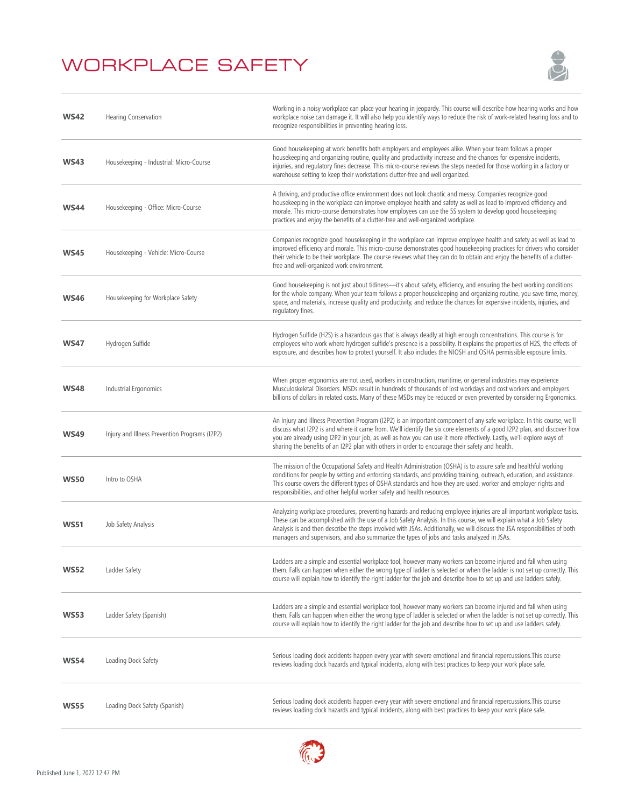

| <b>WS42</b> | Hearing Conservation                          | Working in a noisy workplace can place your hearing in jeopardy. This course will describe how hearing works and how<br>workplace noise can damage it. It will also help you identify ways to reduce the risk of work-related hearing loss and to<br>recognize responsibilities in preventing hearing loss.                                                                                                                                                                   |
|-------------|-----------------------------------------------|-------------------------------------------------------------------------------------------------------------------------------------------------------------------------------------------------------------------------------------------------------------------------------------------------------------------------------------------------------------------------------------------------------------------------------------------------------------------------------|
| <b>WS43</b> | Housekeeping - Industrial: Micro-Course       | Good housekeeping at work benefits both employers and employees alike. When your team follows a proper<br>housekeeping and organizing routine, quality and productivity increase and the chances for expensive incidents,<br>injuries, and regulatory fines decrease. This micro-course reviews the steps needed for those working in a factory or<br>warehouse setting to keep their workstations clutter-free and well organized.                                           |
| <b>WS44</b> | Housekeeping - Office: Micro-Course           | A thriving, and productive office environment does not look chaotic and messy. Companies recognize good<br>housekeeping in the workplace can improve employee health and safety as well as lead to improved efficiency and<br>morale. This micro-course demonstrates how employees can use the 5S system to develop good housekeeping<br>practices and enjoy the benefits of a clutter-free and well-organized workplace.                                                     |
| <b>WS45</b> | Housekeeping - Vehicle: Micro-Course          | Companies recognize good housekeeping in the workplace can improve employee health and safety as well as lead to<br>improved efficiency and morale. This micro-course demonstrates good housekeeping practices for drivers who consider<br>their vehicle to be their workplace. The course reviews what they can do to obtain and enjoy the benefits of a clutter-<br>free and well-organized work environment.                                                               |
| <b>WS46</b> | Housekeeping for Workplace Safety             | Good housekeeping is not just about tidiness—it's about safety, efficiency, and ensuring the best working conditions<br>for the whole company. When your team follows a proper housekeeping and organizing routine, you save time, money,<br>space, and materials, increase quality and productivity, and reduce the chances for expensive incidents, injuries, and<br>regulatory fines.                                                                                      |
| <b>WS47</b> | Hydrogen Sulfide                              | Hydrogen Sulfide (H2S) is a hazardous gas that is always deadly at high enough concentrations. This course is for<br>employees who work where hydrogen sulfide's presence is a possibility. It explains the properties of H2S, the effects of<br>exposure, and describes how to protect yourself. It also includes the NIOSH and OSHA permissible exposure limits.                                                                                                            |
| <b>WS48</b> | Industrial Ergonomics                         | When proper ergonomics are not used, workers in construction, maritime, or general industries may experience<br>Musculoskeletal Disorders. MSDs result in hundreds of thousands of lost workdays and cost workers and employers<br>billions of dollars in related costs. Many of these MSDs may be reduced or even prevented by considering Ergonomics.                                                                                                                       |
| <b>WS49</b> | Injury and Illness Prevention Programs (I2P2) | An Injury and Illness Prevention Program (I2P2) is an important component of any safe workplace. In this course, we'll<br>discuss what I2P2 is and where it came from. We'll identify the six core elements of a good I2P2 plan, and discover how<br>you are already using I2P2 in your job, as well as how you can use it more effectively. Lastly, we'll explore ways of<br>sharing the benefits of an I2P2 plan with others in order to encourage their safety and health. |
| <b>WS50</b> | Intro to OSHA                                 | The mission of the Occupational Safety and Health Administration (OSHA) is to assure safe and healthful working<br>conditions for people by setting and enforcing standards, and providing training, outreach, education, and assistance.<br>This course covers the different types of OSHA standards and how they are used, worker and employer rights and<br>responsibilities, and other helpful worker safety and health resources.                                        |
| <b>WS51</b> | Job Safety Analysis                           | Analyzing workplace procedures, preventing hazards and reducing employee injuries are all important workplace tasks.<br>These can be accomplished with the use of a Job Safety Analysis. In this course, we will explain what a Job Safety<br>Analysis is and then describe the steps involved with JSAs. Additionally, we will discuss the JSA responsibilities of both<br>managers and supervisors, and also summarize the types of jobs and tasks analyzed in JSAs.        |
| <b>WS52</b> | Ladder Safety                                 | Ladders are a simple and essential workplace tool, however many workers can become injured and fall when using<br>them. Falls can happen when either the wrong type of ladder is selected or when the ladder is not set up correctly. This<br>course will explain how to identify the right ladder for the job and describe how to set up and use ladders safely.                                                                                                             |
| <b>WS53</b> | Ladder Safety (Spanish)                       | Ladders are a simple and essential workplace tool, however many workers can become injured and fall when using<br>them. Falls can happen when either the wrong type of ladder is selected or when the ladder is not set up correctly. This<br>course will explain how to identify the right ladder for the job and describe how to set up and use ladders safely.                                                                                                             |
| WS54        | Loading Dock Safety                           | Serious loading dock accidents happen every year with severe emotional and financial repercussions. This course<br>reviews loading dock hazards and typical incidents, along with best practices to keep your work place safe.                                                                                                                                                                                                                                                |
| <b>WS55</b> | Loading Dock Safety (Spanish)                 | Serious loading dock accidents happen every year with severe emotional and financial repercussions. This course<br>reviews loading dock hazards and typical incidents, along with best practices to keep your work place safe.                                                                                                                                                                                                                                                |

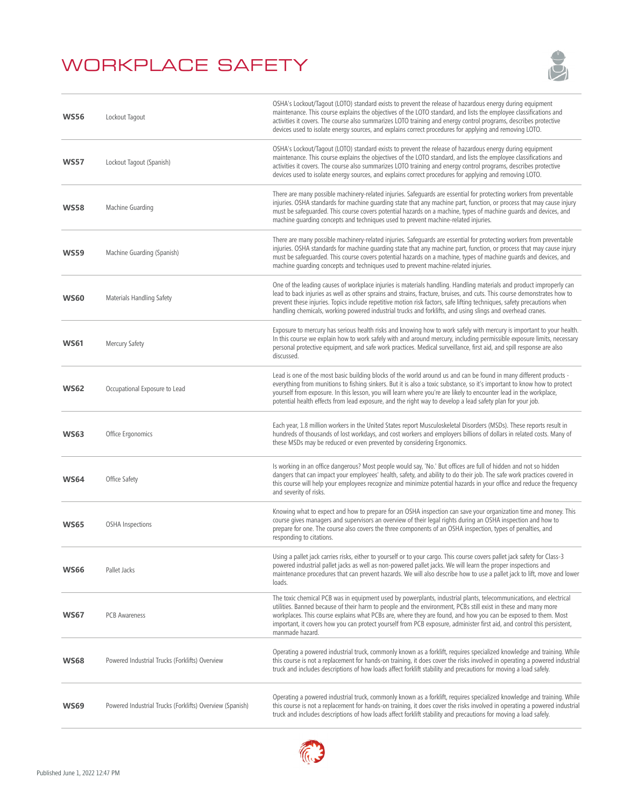

| <b>WS56</b> | Lockout Tagout                                           | OSHA's Lockout/Tagout (LOTO) standard exists to prevent the release of hazardous energy during equipment<br>maintenance. This course explains the objectives of the LOTO standard, and lists the employee classifications and<br>activities it covers. The course also summarizes LOTO training and energy control programs, describes protective<br>devices used to isolate energy sources, and explains correct procedures for applying and removing LOTO.                                         |
|-------------|----------------------------------------------------------|------------------------------------------------------------------------------------------------------------------------------------------------------------------------------------------------------------------------------------------------------------------------------------------------------------------------------------------------------------------------------------------------------------------------------------------------------------------------------------------------------|
| <b>WS57</b> | Lockout Tagout (Spanish)                                 | OSHA's Lockout/Tagout (LOTO) standard exists to prevent the release of hazardous energy during equipment<br>maintenance. This course explains the objectives of the LOTO standard, and lists the employee classifications and<br>activities it covers. The course also summarizes LOTO training and energy control programs, describes protective<br>devices used to isolate energy sources, and explains correct procedures for applying and removing LOTO.                                         |
| <b>WS58</b> | Machine Guarding                                         | There are many possible machinery-related injuries. Safeguards are essential for protecting workers from preventable<br>injuries. OSHA standards for machine quarding state that any machine part, function, or process that may cause injury<br>must be safeguarded. This course covers potential hazards on a machine, types of machine guards and devices, and<br>machine quarding concepts and techniques used to prevent machine-related injuries.                                              |
| <b>WS59</b> | Machine Guarding (Spanish)                               | There are many possible machinery-related injuries. Safeguards are essential for protecting workers from preventable<br>injuries. OSHA standards for machine quarding state that any machine part, function, or process that may cause injury<br>must be safequarded. This course covers potential hazards on a machine, types of machine quards and devices, and<br>machine guarding concepts and techniques used to prevent machine-related injuries.                                              |
| <b>WS60</b> | Materials Handling Safety                                | One of the leading causes of workplace injuries is materials handling. Handling materials and product improperly can<br>lead to back injuries as well as other sprains and strains, fracture, bruises, and cuts. This course demonstrates how to<br>prevent these injuries. Topics include repetitive motion risk factors, safe lifting techniques, safety precautions when<br>handling chemicals, working powered industrial trucks and forklifts, and using slings and overhead cranes.            |
| <b>WS61</b> | Mercury Safety                                           | Exposure to mercury has serious health risks and knowing how to work safely with mercury is important to your health.<br>In this course we explain how to work safely with and around mercury, including permissible exposure limits, necessary<br>personal protective equipment, and safe work practices. Medical surveillance, first aid, and spill response are also<br>discussed.                                                                                                                |
| <b>WS62</b> | Occupational Exposure to Lead                            | Lead is one of the most basic building blocks of the world around us and can be found in many different products -<br>everything from munitions to fishing sinkers. But it is also a toxic substance, so it's important to know how to protect<br>yourself from exposure. In this lesson, you will learn where you're are likely to encounter lead in the workplace,<br>potential health effects from lead exposure, and the right way to develop a lead safety plan for your job.                   |
| <b>WS63</b> | Office Ergonomics                                        | Each year, 1.8 million workers in the United States report Musculoskeletal Disorders (MSDs). These reports result in<br>hundreds of thousands of lost workdays, and cost workers and employers billions of dollars in related costs. Many of<br>these MSDs may be reduced or even prevented by considering Ergonomics.                                                                                                                                                                               |
| <b>WS64</b> | Office Safety                                            | Is working in an office dangerous? Most people would say, 'No.' But offices are full of hidden and not so hidden<br>dangers that can impact your employees' health, safety, and ability to do their job. The safe work practices covered in<br>this course will help your employees recognize and minimize potential hazards in your office and reduce the frequency<br>and severity of risks.                                                                                                       |
| <b>WS65</b> | <b>OSHA Inspections</b>                                  | Knowing what to expect and how to prepare for an OSHA inspection can save your organization time and money. This<br>course gives managers and supervisors an overview of their legal rights during an OSHA inspection and how to<br>prepare for one. The course also covers the three components of an OSHA inspection, types of penalties, and<br>responding to citations.                                                                                                                          |
| <b>WS66</b> | Pallet Jacks                                             | Using a pallet jack carries risks, either to yourself or to your cargo. This course covers pallet jack safety for Class-3<br>powered industrial pallet jacks as well as non-powered pallet jacks. We will learn the proper inspections and<br>maintenance procedures that can prevent hazards. We will also describe how to use a pallet jack to lift, move and lower<br>loads.                                                                                                                      |
| <b>WS67</b> | <b>PCB Awareness</b>                                     | The toxic chemical PCB was in equipment used by powerplants, industrial plants, telecommunications, and electrical<br>utilities. Banned because of their harm to people and the environment, PCBs still exist in these and many more<br>workplaces. This course explains what PCBs are, where they are found, and how you can be exposed to them. Most<br>important, it covers how you can protect yourself from PCB exposure, administer first aid, and control this persistent,<br>manmade hazard. |
| <b>WS68</b> | Powered Industrial Trucks (Forklifts) Overview           | Operating a powered industrial truck, commonly known as a forklift, requires specialized knowledge and training. While<br>this course is not a replacement for hands-on training, it does cover the risks involved in operating a powered industrial<br>truck and includes descriptions of how loads affect forklift stability and precautions for moving a load safely.                                                                                                                             |
| WS69        | Powered Industrial Trucks (Forklifts) Overview (Spanish) | Operating a powered industrial truck, commonly known as a forklift, requires specialized knowledge and training. While<br>this course is not a replacement for hands-on training, it does cover the risks involved in operating a powered industrial<br>truck and includes descriptions of how loads affect forklift stability and precautions for moving a load safely.                                                                                                                             |

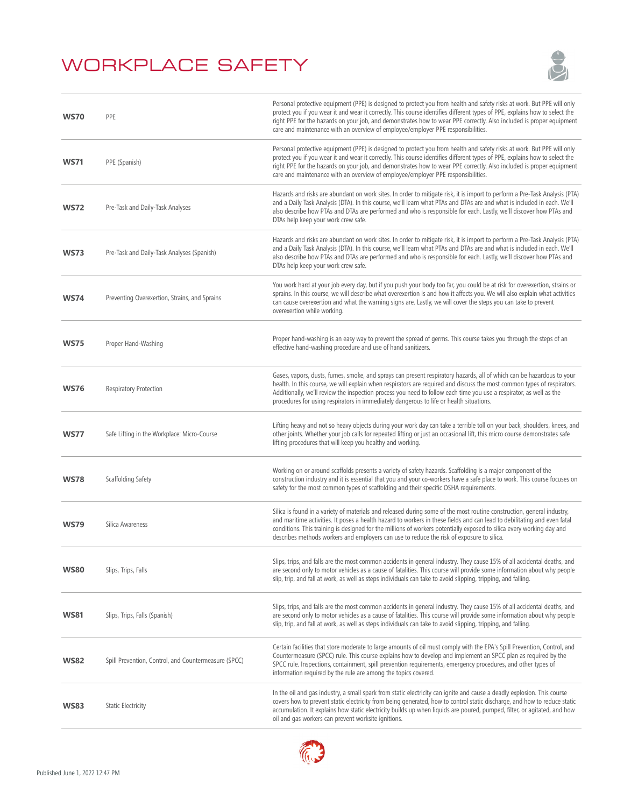

| <b>WS70</b> | PPE                                                  | Personal protective equipment (PPE) is designed to protect you from health and safety risks at work. But PPE will only<br>protect you if you wear it and wear it correctly. This course identifies different types of PPE, explains how to select the<br>right PPE for the hazards on your job, and demonstrates how to wear PPE correctly. Also included is proper equipment<br>care and maintenance with an overview of employee/employer PPE responsibilities.        |
|-------------|------------------------------------------------------|--------------------------------------------------------------------------------------------------------------------------------------------------------------------------------------------------------------------------------------------------------------------------------------------------------------------------------------------------------------------------------------------------------------------------------------------------------------------------|
| <b>WS71</b> | PPE (Spanish)                                        | Personal protective equipment (PPE) is designed to protect you from health and safety risks at work. But PPE will only<br>protect you if you wear it and wear it correctly. This course identifies different types of PPE, explains how to select the<br>right PPE for the hazards on your job, and demonstrates how to wear PPE correctly. Also included is proper equipment<br>care and maintenance with an overview of employee/employer PPE responsibilities.        |
| <b>WS72</b> | Pre-Task and Daily-Task Analyses                     | Hazards and risks are abundant on work sites. In order to mitigate risk, it is import to perform a Pre-Task Analysis (PTA)<br>and a Daily Task Analysis (DTA). In this course, we'll learn what PTAs and DTAs are and what is included in each. We'll<br>also describe how PTAs and DTAs are performed and who is responsible for each. Lastly, we'll discover how PTAs and<br>DTAs help keep your work crew safe.                                                       |
| <b>WS73</b> | Pre-Task and Daily-Task Analyses (Spanish)           | Hazards and risks are abundant on work sites. In order to mitigate risk, it is import to perform a Pre-Task Analysis (PTA)<br>and a Daily Task Analysis (DTA). In this course, we'll learn what PTAs and DTAs are and what is included in each. We'll<br>also describe how PTAs and DTAs are performed and who is responsible for each. Lastly, we'll discover how PTAs and<br>DTAs help keep your work crew safe.                                                       |
| <b>WS74</b> | Preventing Overexertion, Strains, and Sprains        | You work hard at your job every day, but if you push your body too far, you could be at risk for overexertion, strains or<br>sprains. In this course, we will describe what overexertion is and how it affects you. We will also explain what activities<br>can cause overexertion and what the warning signs are. Lastly, we will cover the steps you can take to prevent<br>overexertion while working.                                                                |
| <b>WS75</b> | Proper Hand-Washing                                  | Proper hand-washing is an easy way to prevent the spread of germs. This course takes you through the steps of an<br>effective hand-washing procedure and use of hand sanitizers.                                                                                                                                                                                                                                                                                         |
| <b>WS76</b> | Respiratory Protection                               | Gases, vapors, dusts, fumes, smoke, and sprays can present respiratory hazards, all of which can be hazardous to your<br>health. In this course, we will explain when respirators are required and discuss the most common types of respirators.<br>Additionally, we'll review the inspection process you need to follow each time you use a respirator, as well as the<br>procedures for using respirators in immediately dangerous to life or health situations.       |
| <b>WS77</b> | Safe Lifting in the Workplace: Micro-Course          | Lifting heavy and not so heavy objects during your work day can take a terrible toll on your back, shoulders, knees, and<br>other joints. Whether your job calls for repeated lifting or just an occasional lift, this micro course demonstrates safe<br>lifting procedures that will keep you healthy and working.                                                                                                                                                      |
| <b>WS78</b> | Scaffolding Safety                                   | Working on or around scaffolds presents a variety of safety hazards. Scaffolding is a major component of the<br>construction industry and it is essential that you and your co-workers have a safe place to work. This course focuses on<br>safety for the most common types of scaffolding and their specific OSHA requirements.                                                                                                                                        |
| <b>WS79</b> | Silica Awareness                                     | Silica is found in a variety of materials and released during some of the most routine construction, general industry,<br>and maritime activities. It poses a health hazard to workers in these fields and can lead to debilitating and even fatal<br>conditions. This training is designed for the millions of workers potentially exposed to silica every working day and<br>describes methods workers and employers can use to reduce the risk of exposure to silica. |
| <b>WS80</b> | Slips, Trips, Falls                                  | Slips, trips, and falls are the most common accidents in general industry. They cause 15% of all accidental deaths, and<br>are second only to motor vehicles as a cause of fatalities. This course will provide some information about why people<br>slip, trip, and fall at work, as well as steps individuals can take to avoid slipping, tripping, and falling.                                                                                                       |
| <b>WS81</b> | Slips, Trips, Falls (Spanish)                        | Slips, trips, and falls are the most common accidents in general industry. They cause 15% of all accidental deaths, and<br>are second only to motor vehicles as a cause of fatalities. This course will provide some information about why people<br>slip, trip, and fall at work, as well as steps individuals can take to avoid slipping, tripping, and falling.                                                                                                       |
| <b>WS82</b> | Spill Prevention, Control, and Countermeasure (SPCC) | Certain facilities that store moderate to large amounts of oil must comply with the EPA's Spill Prevention, Control, and<br>Countermeasure (SPCC) rule. This course explains how to develop and implement an SPCC plan as required by the<br>SPCC rule. Inspections, containment, spill prevention requirements, emergency procedures, and other types of<br>information required by the rule are among the topics covered.                                              |
| <b>WS83</b> | <b>Static Electricity</b>                            | In the oil and gas industry, a small spark from static electricity can ignite and cause a deadly explosion. This course<br>covers how to prevent static electricity from being generated, how to control static discharge, and how to reduce static<br>accumulation. It explains how static electricity builds up when liquids are poured, pumped, filter, or agitated, and how<br>oil and gas workers can prevent worksite ignitions.                                   |